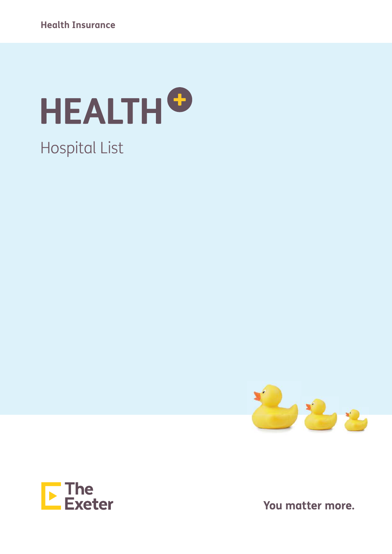





You matter more.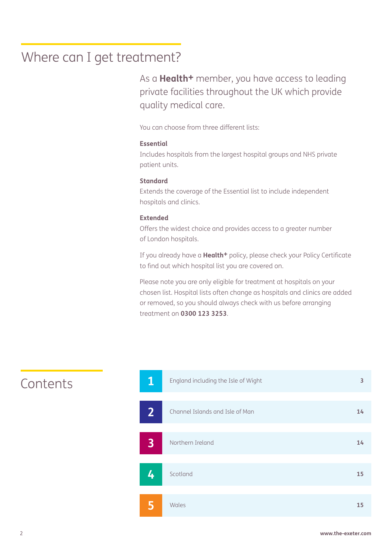### Where can I get treatment?

As a **Health+** member, you have access to leading private facilities throughout the UK which provide quality medical care.

You can choose from three different lists:

#### **Essential**

Includes hospitals from the largest hospital groups and NHS private patient units.

#### **Standard**

Extends the coverage of the Essential list to include independent hospitals and clinics.

#### **Extended**

Offers the widest choice and provides access to a greater number of London hospitals.

If you already have a **Health+** policy, please check your Policy Certificate to find out which hospital list you are covered on.

Please note you are only eligible for treatment at hospitals on your chosen list. Hospital lists often change as hospitals and clinics are added or removed, so you should always check with us before arranging treatment on **0300 123 3253**.



### Contents **1**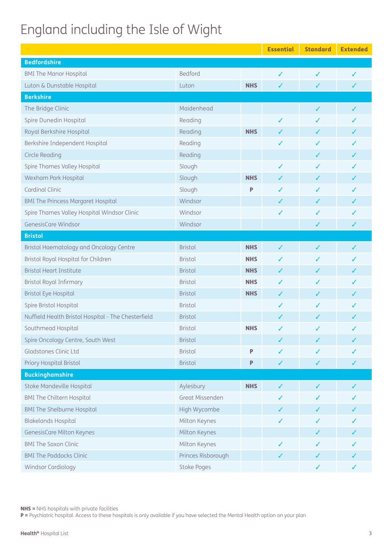# England including the Isle of Wight

|                                                     |                    |            | <b>Essential</b> | <b>Standard</b> | <b>Extended</b> |
|-----------------------------------------------------|--------------------|------------|------------------|-----------------|-----------------|
| <b>Bedfordshire</b>                                 |                    |            |                  |                 |                 |
| <b>BMI The Manor Hospital</b>                       | Bedford            |            | ✓                | ✓               | ✓               |
| Luton & Dunstable Hospital                          | Luton              | <b>NHS</b> | $\checkmark$     | ✓               | ✓               |
| <b>Berkshire</b>                                    |                    |            |                  |                 |                 |
| The Bridge Clinic                                   | Maidenhead         |            |                  | ✓               | ✓               |
| Spire Dunedin Hospital                              | Reading            |            | ✓                | J               | ✓               |
| Royal Berkshire Hospital                            | Reading            | <b>NHS</b> | ✓                | $\checkmark$    | ✓               |
| Berkshire Independent Hospital                      | Reading            |            | ✓                | J               |                 |
| <b>Circle Reading</b>                               | Reading            |            |                  | ✓               | ✓               |
| Spire Thames Valley Hospital                        | Slough             |            | ✓                | ✓               |                 |
| Wexham Park Hospital                                | Slough             | <b>NHS</b> | ✓                | ✓               |                 |
| <b>Cardinal Clinic</b>                              | Slough             | P          | ✓                | ✓               |                 |
| <b>BMI The Princess Margaret Hospital</b>           | Windsor            |            | ✓                | ✓               |                 |
| Spire Thames Valley Hospital Windsor Clinic         | Windsor            |            | ✓                | ✓               | ✓               |
| GenesisCare Windsor                                 | Windsor            |            |                  | ✓               | ✓               |
| <b>Bristol</b>                                      |                    |            |                  |                 |                 |
| Bristol Haematology and Oncology Centre             | <b>Bristol</b>     | <b>NHS</b> | ✓                | ✓               | ✓               |
| Bristol Royal Hospital for Children                 | <b>Bristol</b>     | <b>NHS</b> | ✓                | ✓               | ✓               |
| <b>Bristol Heart Institute</b>                      | <b>Bristol</b>     | <b>NHS</b> | ✓                | ✓               |                 |
| Bristol Royal Infirmary                             | <b>Bristol</b>     | <b>NHS</b> | ✓                | ✓               | ✓               |
| <b>Bristol Eye Hospital</b>                         | <b>Bristol</b>     | <b>NHS</b> | ✓                | ✓               | ✓               |
| Spire Bristol Hospital                              | <b>Bristol</b>     |            | ✓                | ✓               | J               |
| Nuffield Health Bristol Hospital - The Chesterfield | <b>Bristol</b>     |            | ✓                | ✓               |                 |
| Southmead Hospital                                  | <b>Bristol</b>     | <b>NHS</b> | ✓                | ✓               |                 |
| Spire Oncology Centre, South West                   | Bristol            |            | ✓                | $\sqrt{2}$      |                 |
| Gladstones Clinic Ltd                               | <b>Bristol</b>     | P          |                  |                 |                 |
| Priory Hospital Bristol                             | <b>Bristol</b>     | P          | ✓                | ✓               | ✓               |
| <b>Buckinghamshire</b>                              |                    |            |                  |                 |                 |
| Stoke Mandeville Hospital                           | Aylesbury          | <b>NHS</b> | ✓                | ✓               |                 |
| <b>BMI The Chiltern Hospital</b>                    | Great Missenden    |            |                  |                 |                 |
| <b>BMI The Shelburne Hospital</b>                   | High Wycombe       |            |                  | ✓               |                 |
| <b>Blakelands Hospital</b>                          | Milton Keynes      |            | ✓                | ✓               |                 |
| GenesisCare Milton Keynes                           | Milton Keynes      |            |                  | ✓               |                 |
| <b>BMI The Saxon Clinic</b>                         | Milton Keynes      |            |                  | J               |                 |
| <b>BMI The Paddocks Clinic</b>                      | Princes Risborough |            | ✓                | ✓               |                 |
| Windsor Cardiology                                  | Stoke Poges        |            |                  | ✓               |                 |

NHS = NHS hospitals with private facilities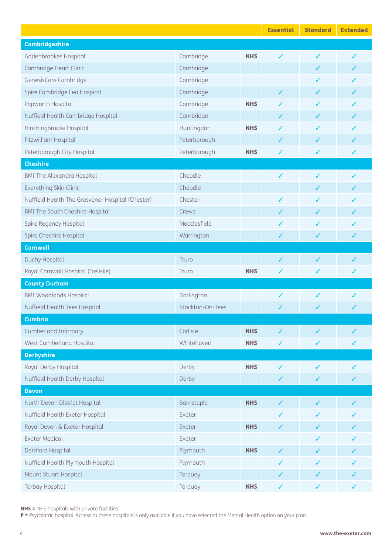|                                                  |                  |            | <b>Essential</b> | <b>Standard</b> | <b>Extended</b> |
|--------------------------------------------------|------------------|------------|------------------|-----------------|-----------------|
| <b>Cambridgeshire</b>                            |                  |            |                  |                 |                 |
| Addenbrookes Hospital                            | Cambridge        | <b>NHS</b> | ✓                | ✓               | ✓               |
| Cambridge Heart Clinic                           | Cambridge        |            |                  | ✓               |                 |
| GenesisCare Cambridge                            | Cambridge        |            |                  | J               |                 |
| Spire Cambridge Lea Hospital                     | Cambridge        |            | ✓                | ✓               |                 |
| Papworth Hospital                                | Cambridge        | <b>NHS</b> | ✓                | J               |                 |
| Nuffield Health Cambridge Hospital               | Cambridge        |            | ✓                | ✓               |                 |
| Hinchingbrooke Hospital                          | Huntingdon       | <b>NHS</b> | ✓                | ✓               |                 |
| Fitzwilliam Hospital                             | Peterborough     |            | ✓                | ✓               |                 |
| Peterborough City Hospital                       | Peterborough     | <b>NHS</b> | ✓                | $\checkmark$    | ✓               |
| <b>Cheshire</b>                                  |                  |            |                  |                 |                 |
| <b>BMI The Alexandra Hospital</b>                | Cheadle          |            | $\checkmark$     | ✓               | ✓               |
| Everything Skin Clinic                           | Cheadle          |            |                  | ✓               | J               |
| Nuffield Health The Grosvenor Hospital (Chester) | Chester          |            | ✓                | ✓               | ✓               |
| <b>BMI The South Cheshire Hospital</b>           | Crewe            |            | ✓                | ✓               | J               |
| Spire Regency Hospital                           | Macclesfield     |            | ✓                | ✓               | ✓               |
| Spire Cheshire Hospital                          | Warrington       |            | ✓                | ✓               | ✓               |
| <b>Cornwall</b>                                  |                  |            |                  |                 |                 |
| Duchy Hospital                                   | Truro            |            | ✓                | ✓               | ✓               |
| Royal Cornwall Hospital (Treliske)               | Truro            | <b>NHS</b> | ✓                | ✓               | ✓               |
| <b>County Durham</b>                             |                  |            |                  |                 |                 |
| <b>BMI Woodlands Hospital</b>                    | Darlington       |            | ✓                | ✓               | J               |
| Nuffield Health Tees Hospital                    | Stockton-On-Tees |            | ✓                | ✓               | ✓               |
| <b>Cumbria</b>                                   |                  |            |                  |                 |                 |
| <b>Cumberland Infirmary</b>                      | Carlisle         | <b>NHS</b> | ✓                | ✓               | ✓               |
| West Cumberland Hospital                         | Whitehaven       | <b>NHS</b> | ✓                | ✓               | ✓               |
| <b>Derbyshire</b>                                |                  |            |                  |                 |                 |
| Royal Derby Hospital                             | Derby            | <b>NHS</b> | ✓                | ✓               | ✓               |
| Nuffield Health Derby Hospital                   | Derby            |            | ✓                | ✓               | ✓               |
| <b>Devon</b>                                     |                  |            |                  |                 |                 |
| North Devon District Hospital                    | Barnstaple       | <b>NHS</b> | $\checkmark$     | $\checkmark$    | ✓               |
| Nuffield Health Exeter Hospital                  | Exeter           |            | ✓                | ✓               |                 |
| Royal Devon & Exeter Hospital                    | Exeter           | <b>NHS</b> | ✓                | ✓               |                 |
| <b>Exeter Medical</b>                            | Exeter           |            |                  | ✓               |                 |
| Derriford Hospital                               | Plymouth         | <b>NHS</b> | ✓                | ✓               |                 |
| Nuffield Health Plymouth Hospital                | Plymouth         |            | ✓                | ✓               |                 |
| Mount Stuart Hospital                            | Torquay          |            | ✓                | ✓               |                 |
| <b>Torbay Hospital</b>                           | Torquay          | <b>NHS</b> | ✓                | ✓               | ✓               |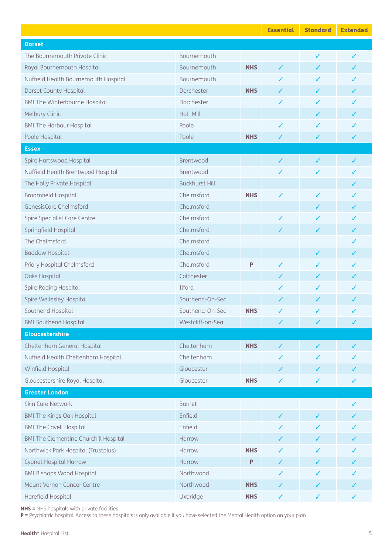|                                              |                       |            | <b>Essential</b> | <b>Standard</b> | <b>Extended</b> |
|----------------------------------------------|-----------------------|------------|------------------|-----------------|-----------------|
| <b>Dorset</b>                                |                       |            |                  |                 |                 |
| The Bournemouth Private Clinic               | Bournemouth           |            |                  | ✓               | ✓               |
| Royal Bournemouth Hospital                   | Bournemouth           | <b>NHS</b> | $\checkmark$     | ✓               |                 |
| Nuffield Health Bournemouth Hospital         | Bournemouth           |            | ✓                | ✓               |                 |
| Dorset County Hospital                       | Dorchester            | <b>NHS</b> | ✓                | ✓               |                 |
| <b>BMI The Winterbourne Hospital</b>         | Dorchester            |            | ✓                | ✓               |                 |
| Melbury Clinic                               | <b>Holt Mill</b>      |            |                  | ✓               |                 |
| <b>BMI The Harbour Hospital</b>              | Poole                 |            | ✓                | ✓               |                 |
| Poole Hospital                               | Poole                 | <b>NHS</b> | ✓                | ✓               | ✓               |
| <b>Essex</b>                                 |                       |            |                  |                 |                 |
| Spire Hartswood Hospital                     | Brentwood             |            | $\checkmark$     | $\checkmark$    | ✓               |
| Nuffield Health Brentwood Hospital           | Brentwood             |            | ✓                | ✓               |                 |
| The Holly Private Hospital                   | <b>Buckhurst Hill</b> |            |                  |                 | ✓               |
| Broomfield Hospital                          | Chelmsford            | <b>NHS</b> | ✓                | ✓               |                 |
| GenesisCare Chelmsford                       | Chelmsford            |            |                  | ✓               | ✓               |
| Spire Specialist Care Centre                 | Chelmsford            |            | ✓                | ✓               |                 |
| Springfield Hospital                         | Chelmsford            |            | ✓                | $\checkmark$    | ✓               |
| The Chelmsford                               | Chelmsford            |            |                  |                 |                 |
| <b>Baddow Hospital</b>                       | Chelmsford            |            |                  | ✓               | ✓               |
| Priory Hospital Chelmsford                   | Chelmsford            | P          | ✓                | ✓               |                 |
| Oaks Hospital                                | Colchester            |            | ✓                | ✓               |                 |
| Spire Roding Hospital                        | Ilford                |            | ✓                | ✓               |                 |
| Spire Wellesley Hospital                     | Southend-On-Sea       |            | ✓                | ✓               |                 |
| Southend Hospital                            | Southend-On-Sea       | <b>NHS</b> | ✓                | ✓               | ✓               |
| <b>BMI Southend Hospital</b>                 | Westcliff-on-Sea      |            | ✓                | $\checkmark$    | ✓               |
| Gloucestershire                              |                       |            |                  |                 |                 |
| Cheltenham General Hospital                  | Cheltenham            | <b>NHS</b> | $\checkmark$     | $\checkmark$    | ✓               |
| Nuffield Health Cheltenham Hospital          | Cheltenham            |            | ✓                | ✓               |                 |
| Winfield Hospital                            | Gloucester            |            | ✓                | ✓               | ✓               |
| Gloucestershire Royal Hospital               | Gloucester            | <b>NHS</b> | ✓                | ✓               | ✓               |
| <b>Greater London</b>                        |                       |            |                  |                 |                 |
| Skin Care Network                            | <b>Barnet</b>         |            |                  |                 | ✓               |
| <b>BMI The Kings Oak Hospital</b>            | Enfield               |            | $\checkmark$     | ✓               | ✓               |
| <b>BMI The Cavell Hospital</b>               | Enfield               |            | ✓                | ✓               |                 |
| <b>BMI The Clementine Churchill Hospital</b> | Harrow                |            | ✓                | ✓               | ✓               |
| Northwick Park Hospital (Trustplus)          | Harrow                | <b>NHS</b> | ✓                | ✓               |                 |
| <b>Cygnet Hospital Harrow</b>                | Harrow                | P          | ✓                | ✓               |                 |
| <b>BMI Bishops Wood Hospital</b>             | Northwood             |            | ✓                | ✓               |                 |
| Mount Vernon Cancer Centre                   | Northwood             | <b>NHS</b> | ✓                | ✓               |                 |
| Harefield Hospital                           | Uxbridge              | <b>NHS</b> | ✓                | $\checkmark$    | ✓               |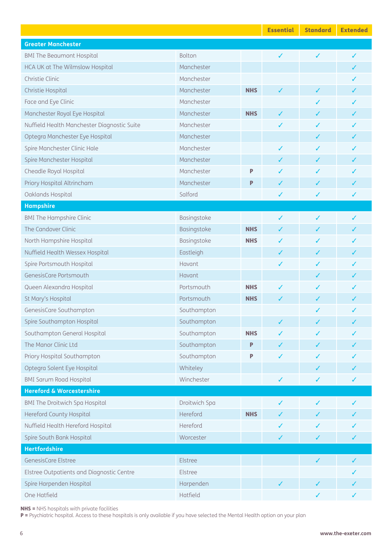|                                             |               |            | <b>Essential</b> | <b>Standard</b> | <b>Extended</b> |
|---------------------------------------------|---------------|------------|------------------|-----------------|-----------------|
| <b>Greater Manchester</b>                   |               |            |                  |                 |                 |
| <b>BMI The Beaumont Hospital</b>            | Bolton        |            | $\checkmark$     | $\checkmark$    | ✓               |
| HCA UK at The Wilmslow Hospital             | Manchester    |            |                  |                 | ✓               |
| Christie Clinic                             | Manchester    |            |                  |                 |                 |
| Christie Hospital                           | Manchester    | <b>NHS</b> | $\checkmark$     | $\checkmark$    | ✓               |
| Face and Eye Clinic                         | Manchester    |            |                  | ✓               |                 |
| Manchester Royal Eye Hospital               | Manchester    | <b>NHS</b> | $\checkmark$     | ✓               | ✓               |
| Nuffield Health Manchester Diagnostic Suite | Manchester    |            | ✓                | ✓               |                 |
| Optegra Manchester Eye Hospital             | Manchester    |            |                  | ✓               | ✓               |
| Spire Manchester Clinic Hale                | Manchester    |            | ✓                | ✓               | ✓               |
| Spire Manchester Hospital                   | Manchester    |            | ✓                | $\checkmark$    | ✓               |
| Cheadle Royal Hospital                      | Manchester    | P          | ✓                | ✓               |                 |
| Priory Hospital Altrincham                  | Manchester    | P          | $\checkmark$     | $\checkmark$    |                 |
| Oaklands Hospital                           | Salford       |            | ✓                | ✓               | ✓               |
| <b>Hampshire</b>                            |               |            |                  |                 |                 |
| <b>BMI The Hampshire Clinic</b>             | Basingstoke   |            | ✓                | ✓               | ✓               |
| The Candover Clinic                         | Basingstoke   | <b>NHS</b> | ✓                | ✓               | J               |
| North Hampshire Hospital                    | Basingstoke   | <b>NHS</b> | ✓                | ✓               |                 |
| Nuffield Health Wessex Hospital             | Eastleigh     |            | ✓                | ✓               |                 |
| Spire Portsmouth Hospital                   | Havant        |            | ✓                | ✓               |                 |
| GenesisCare Portsmouth                      | Havant        |            |                  | ✓               |                 |
| Queen Alexandra Hospital                    | Portsmouth    | <b>NHS</b> | ✓                | ✓               |                 |
| St Mary's Hospital                          | Portsmouth    | <b>NHS</b> | ✓                | ✓               |                 |
| GenesisCare Southampton                     | Southampton   |            |                  | ✓               | ✓               |
| Spire Southampton Hospital                  | Southampton   |            |                  |                 |                 |
| Southampton General Hospital                | Southampton   | <b>NHS</b> |                  |                 |                 |
| The Manor Clinic Ltd                        | Southampton   | P          | ✓                | ✓               |                 |
| Priory Hospital Southampton                 | Southampton   | P          | ✓                |                 |                 |
| Optegra Solent Eye Hospital                 | Whiteley      |            |                  | ✓               |                 |
| <b>BMI Sarum Road Hospital</b>              | Winchester    |            | ✓                | $\checkmark$    | ✓               |
| <b>Hereford &amp; Worcestershire</b>        |               |            |                  |                 |                 |
| <b>BMI The Droitwich Spa Hospital</b>       | Droitwich Spa |            | ✓                | $\checkmark$    | ✓               |
| <b>Hereford County Hospital</b>             | Hereford      | <b>NHS</b> | ✓                | ✓               |                 |
| Nuffield Health Hereford Hospital           | Hereford      |            | ✓                | ✓               |                 |
| Spire South Bank Hospital                   | Worcester     |            | ✓                | ✓               | ✓               |
| <b>Hertfordshire</b>                        |               |            |                  |                 |                 |
| GenesisCare Elstree                         | Elstree       |            |                  | $\checkmark$    |                 |
| Elstree Outpatients and Diagnostic Centre   | Elstree       |            |                  |                 |                 |
| Spire Harpenden Hospital                    | Harpenden     |            | ✓                | ✓               |                 |
| One Hatfield                                | Hatfield      |            |                  | $\checkmark$    | ✓               |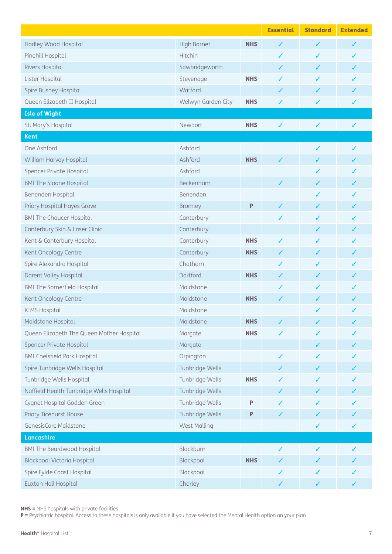|                                           |                    |            | <b>Essential</b> | <b>Standard</b> | <b>Extended</b> |
|-------------------------------------------|--------------------|------------|------------------|-----------------|-----------------|
| Hadley Wood Hospital                      | <b>High Barnet</b> | <b>NHS</b> | ✓                | ✓               | J               |
| Pinehill Hospital                         | Hitchin            |            | ✓                | ✓               | ✓               |
| <b>Rivers Hospital</b>                    | Sawbridgeworth     |            | ✓                | ✓               | ✓               |
| Lister Hospital                           | Stevenage          | <b>NHS</b> |                  |                 |                 |
| Spire Bushey Hospital                     | Watford            |            | ✓                | ✓               |                 |
| Queen Elizabeth II Hospital               | Welwyn Garden City | <b>NHS</b> | ✓                | ✓               | ✓               |
| <b>Isle of Wight</b>                      |                    |            |                  |                 |                 |
| St. Mary's Hospital                       | Newport            | <b>NHS</b> | ✓                | ✓               | ✓               |
| <b>Kent</b>                               |                    |            |                  |                 |                 |
| One Ashford                               | Ashford            |            |                  | ✓               | ✓               |
| William Harvey Hospital                   | Ashford            | <b>NHS</b> | ✓                | ✓               | ✓               |
| Spencer Private Hospital                  | Ashford            |            |                  | ✓               | ✓               |
| <b>BMI The Sloane Hospital</b>            | Beckenham          |            | ✓                | ✓               | ✓               |
| Benenden Hospital                         | Benenden           |            |                  |                 |                 |
| Priory Hospital Hayes Grove               | <b>Bromley</b>     | P          | ✓                | ✓               | ✓               |
| <b>BMI The Chaucer Hospital</b>           | Canterbury         |            | ✓                | ✓               |                 |
| Canterbury Skin & Laser Clinic            | Canterbury         |            |                  | ✓               | ✓               |
| Kent & Canterbury Hospital                | Canterbury         | <b>NHS</b> | ✓                | ✓               |                 |
| Kent Oncology Centre                      | Canterbury         | <b>NHS</b> | ✓                | ✓               | ✓               |
| Spire Alexandra Hospital                  | Chatham            |            | ✓                | ✓               |                 |
| Darent Valley Hospital                    | Dartford           | <b>NHS</b> | ✓                | ✓               |                 |
| <b>BMI The Somerfield Hospital</b>        | Maidstone          |            | ✓                | ✓               |                 |
| Kent Oncology Centre                      | Maidstone          | <b>NHS</b> | ✓                | ✓               |                 |
| <b>KIMS Hospital</b>                      | Maidstone          |            |                  | ✓               | ✓               |
| Maidstone Hospital                        | Maidstone          | <b>NHS</b> |                  |                 |                 |
| Queen Elizabeth The Queen Mother Hospital | Margate            | <b>NHS</b> |                  |                 |                 |
| Spencer Private Hospital                  | Margate            |            |                  | ✓               | ✓               |
| <b>BMI Chelsfield Park Hospital</b>       | Orpington          |            | ✓                |                 |                 |
| Spire Tunbridge Wells Hospital            | Tunbridge Wells    |            | ✓                | ✓               | ✓               |
| Tunbridge Wells Hospital                  | Tunbridge Wells    | <b>NHS</b> |                  |                 |                 |
| Nuffield Health Tunbridge Wells Hospital  | Tunbridge Wells    |            | ✓                | ✓               |                 |
| Cygnet Hospital Godden Green              | Tunbridge Wells    | P          |                  |                 |                 |
| Priory Ticehurst House                    | Tunbridge Wells    | P          | ✓                | ✓               | ✓               |
| GenesisCare Maidstone                     | West Malling       |            |                  | ✓               | ✓               |
| Lancashire                                |                    |            |                  |                 |                 |
| <b>BMI The Beardwood Hospital</b>         | Blackburn          |            | ✓                | ✓               |                 |
| <b>Blackpool Victoria Hospital</b>        | Blackpool          | <b>NHS</b> | ✓                | ✓               |                 |
| Spire Fylde Coast Hospital                | Blackpool          |            | ✓                | ✓               |                 |
| Euxton Hall Hospital                      | Chorley            |            | ✓                | $\checkmark$    | ✓               |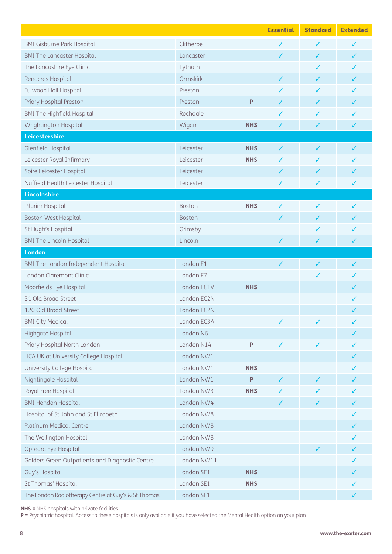|                                                      |                 |            | <b>Essential</b> | <b>Standard</b> | <b>Extended</b> |
|------------------------------------------------------|-----------------|------------|------------------|-----------------|-----------------|
| <b>BMI Gisburne Park Hospital</b>                    | Clitheroe       |            | ✓                | ✓               | ✓               |
| <b>BMI The Lancaster Hospital</b>                    | Lancaster       |            | ✓                | ✓               | ✓               |
| The Lancashire Eye Clinic                            | Lytham          |            |                  | ✓               | J               |
| Renacres Hospital                                    | <b>Ormskirk</b> |            | ✓                | J               |                 |
| <b>Fulwood Hall Hospital</b>                         | Preston         |            | ✓                | ✓               |                 |
| Priory Hospital Preston                              | Preston         | P          | ✓                | ✓               |                 |
| <b>BMI The Highfield Hospital</b>                    | Rochdale        |            | ✓                | ✓               | ✓               |
| Wrightington Hospital                                | Wigan           | <b>NHS</b> | ✓                | ✓               | ✓               |
| Leicestershire                                       |                 |            |                  |                 |                 |
| Glenfield Hospital                                   | Leicester       | <b>NHS</b> | ✓                | ✓               | ✓               |
| Leicester Royal Infirmary                            | Leicester       | <b>NHS</b> | ✓                | ✓               | J               |
| Spire Leicester Hospital                             | Leicester       |            | ✓                | ✓               | J               |
| Nuffield Health Leicester Hospital                   | Leicester       |            | ✓                | ✓               | ✓               |
| Lincolnshire                                         |                 |            |                  |                 |                 |
| Pilgrim Hospital                                     | Boston          | <b>NHS</b> | ✓                | ✓               | ✓               |
| <b>Boston West Hospital</b>                          | <b>Boston</b>   |            | ✓                | ✓               |                 |
| St Hugh's Hospital                                   | Grimsby         |            |                  | ✓               | J               |
| <b>BMI The Lincoln Hospital</b>                      | Lincoln         |            | ✓                | ✓               | ✓               |
| <b>London</b>                                        |                 |            |                  |                 |                 |
| BMI The London Independent Hospital                  | London E1       |            | ✓                | $\checkmark$    | ✓               |
| London Claremont Clinic                              | London E7       |            |                  | ✓               |                 |
| Moorfields Eye Hospital                              | London EC1V     | <b>NHS</b> |                  |                 | ✓               |
| 31 Old Broad Street                                  | London EC2N     |            |                  |                 |                 |
| 120 Old Broad Street                                 | London EC2N     |            |                  |                 | ✓               |
| <b>BMI City Medical</b>                              | London EC3A     |            |                  |                 |                 |
| Highgate Hospital                                    | London N6       |            |                  |                 |                 |
| Priory Hospital North London                         | London N14      | P          | $\checkmark$     | ✓               |                 |
| HCA UK at University College Hospital                | London NW1      |            |                  |                 |                 |
| University College Hospital                          | London NW1      | <b>NHS</b> |                  |                 |                 |
| Nightingale Hospital                                 | London NW1      | P          | ✓                | ✓               |                 |
| Royal Free Hospital                                  | London NW3      | <b>NHS</b> | ✓                | ✓               |                 |
| <b>BMI Hendon Hospital</b>                           | London NW4      |            | ✓                | ✓               | ✓               |
| Hospital of St John and St Elizabeth                 | London NW8      |            |                  |                 |                 |
| <b>Platinum Medical Centre</b>                       | London NW8      |            |                  |                 | ✓               |
| The Wellington Hospital                              | London NW8      |            |                  |                 |                 |
| Optegra Eye Hospital                                 | London NW9      |            |                  | ✓               | ✓               |
| Golders Green Outpatients and Diagnostic Centre      | London NW11     |            |                  |                 |                 |
| Guy's Hospital                                       | London SE1      | <b>NHS</b> |                  |                 | ✓               |
| St Thomas' Hospital                                  | London SE1      | <b>NHS</b> |                  |                 |                 |
| The London Radiotherapy Centre at Guy's & St Thomas' | London SE1      |            |                  |                 |                 |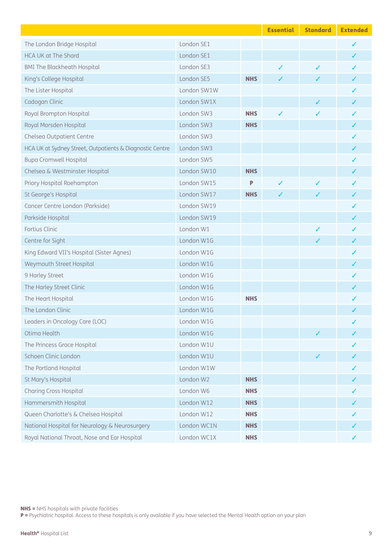|                                                          |             |            | <b>Essential</b> | <b>Standard</b> | <b>Extended</b> |
|----------------------------------------------------------|-------------|------------|------------------|-----------------|-----------------|
| The London Bridge Hospital                               | London SE1  |            |                  |                 | ✓               |
| <b>HCA UK at The Shard</b>                               | London SE1  |            |                  |                 | ✓               |
| <b>BMI The Blackheath Hospital</b>                       | London SE3  |            | $\checkmark$     | $\checkmark$    |                 |
| King's College Hospital                                  | London SE5  | <b>NHS</b> | ✓                | ✓               |                 |
| The Lister Hospital                                      | London SW1W |            |                  |                 |                 |
| Cadogan Clinic                                           | London SW1X |            |                  | ✓               |                 |
| Royal Brompton Hospital                                  | London SW3  | <b>NHS</b> | ✓                | $\checkmark$    | ✓               |
| Royal Marsden Hospital                                   | London SW3  | <b>NHS</b> |                  |                 | ✓               |
| Chelsea Outpatient Centre                                | London SW3  |            |                  |                 | ✓               |
| HCA UK at Sydney Street, Outpatients & Diagnostic Centre | London SW3  |            |                  |                 |                 |
| <b>Bupa Cromwell Hospital</b>                            | London SW5  |            |                  |                 |                 |
| Chelsea & Westminster Hospital                           | London SW10 | <b>NHS</b> |                  |                 |                 |
| Priory Hospital Roehampton                               | London SW15 | Ρ          | ✓                | ✓               |                 |
| St George's Hospital                                     | London SW17 | <b>NHS</b> | ✓                | ✓               |                 |
| Cancer Centre London (Parkside)                          | London SW19 |            |                  |                 | ✓               |
| Parkside Hospital                                        | London SW19 |            |                  |                 |                 |
| Fortius Clinic                                           | London W1   |            |                  | ✓               |                 |
| Centre for Sight                                         | London W1G  |            |                  |                 | ✓               |
| King Edward VII's Hospital (Sister Agnes)                | London W1G  |            |                  |                 |                 |
| Weymouth Street Hospital                                 | London W1G  |            |                  |                 |                 |
| 9 Harley Street                                          | London W1G  |            |                  |                 |                 |
| The Harley Street Clinic                                 | London W1G  |            |                  |                 |                 |
| The Heart Hospital                                       | London W1G  | <b>NHS</b> |                  |                 |                 |
| The London Clinic                                        | London W1G  |            |                  |                 | ✓               |
| Leaders in Oncology Care (LOC)                           | London W1G  |            |                  |                 |                 |
| Otima Health                                             | London W1G  |            |                  |                 |                 |
| The Princess Grace Hospital                              | London W1U  |            |                  |                 |                 |
| Schoen Clinic London                                     | London W1U  |            |                  | ✓               |                 |
| The Portland Hospital                                    | London W1W  |            |                  |                 |                 |
| St Mary's Hospital                                       | London W2   | <b>NHS</b> |                  |                 |                 |
| <b>Charing Cross Hospital</b>                            | London W6   | <b>NHS</b> |                  |                 |                 |
| Hammersmith Hospital                                     | London W12  | <b>NHS</b> |                  |                 |                 |
| Queen Charlotte's & Chelsea Hospital                     | London W12  | <b>NHS</b> |                  |                 |                 |
| National Hospital for Neurology & Neurosurgery           | London WC1N | <b>NHS</b> |                  |                 |                 |
| Royal National Throat, Nose and Ear Hospital             | London WC1X | <b>NHS</b> |                  |                 |                 |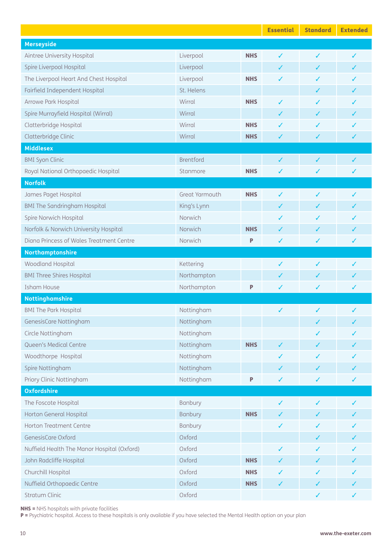|                                             |                  |            | <b>Essential</b> | <b>Standard</b> | <b>Extended</b> |
|---------------------------------------------|------------------|------------|------------------|-----------------|-----------------|
| <b>Merseyside</b>                           |                  |            |                  |                 |                 |
| Aintree University Hospital                 | Liverpool        | <b>NHS</b> | ✓                | ✓               | ✓               |
| Spire Liverpool Hospital                    | Liverpool        |            | ✓                | ✓               | J               |
| The Liverpool Heart And Chest Hospital      | Liverpool        | <b>NHS</b> | ✓                | ✓               |                 |
| Fairfield Independent Hospital              | St. Helens       |            |                  | ✓               | ✓               |
| Arrowe Park Hospital                        | Wirral           | <b>NHS</b> | ✓                | ✓               |                 |
| Spire Murrayfield Hospital (Wirral)         | Wirral           |            | ✓                | ✓               | ✓               |
| Clatterbridge Hospital                      | Wirral           | <b>NHS</b> | ✓                | ✓               |                 |
| Clatterbridge Clinic                        | Wirral           | <b>NHS</b> | ✓                | ✓               | ✓               |
| <b>Middlesex</b>                            |                  |            |                  |                 |                 |
| <b>BMI Syon Clinic</b>                      | <b>Brentford</b> |            | ✓                | $\checkmark$    | ✓               |
| Royal National Orthopaedic Hospital         | Stanmore         | <b>NHS</b> | ✓                | ✓               | ✓               |
| <b>Norfolk</b>                              |                  |            |                  |                 |                 |
| James Paget Hospital                        | Great Yarmouth   | <b>NHS</b> | ✓                | ✓               |                 |
| <b>BMI The Sandringham Hospital</b>         | King's Lynn      |            | ✓                | ✓               | J               |
| Spire Norwich Hospital                      | Norwich          |            | ✓                | ✓               |                 |
| Norfolk & Norwich University Hospital       | Norwich          | <b>NHS</b> | ✓                | ✓               | ✓               |
| Diana Princess of Wales Treatment Centre    | Norwich          | P          | ✓                | ✓               | ✓               |
| Northamptonshire                            |                  |            |                  |                 |                 |
| Woodland Hospital                           | Kettering        |            | $\checkmark$     | ✓               | ✓               |
| <b>BMI Three Shires Hospital</b>            | Northampton      |            | ✓                | ✓               |                 |
| Isham House                                 | Northampton      | P          | ✓                | ✓               | ✓               |
| Nottinghamshire                             |                  |            |                  |                 |                 |
| <b>BMI The Park Hospital</b>                | Nottingham       |            | ✓                | ✓               | ✓               |
| GenesisCare Nottingham                      | Nottingham       |            |                  |                 |                 |
| Circle Nottingham                           | Nottingham       |            |                  |                 |                 |
| Queen's Medical Centre                      | Nottingham       | <b>NHS</b> | $\checkmark$     | ✓               | ✓               |
| Woodthorpe Hospital                         | Nottingham       |            | ✓                | ✓               |                 |
| Spire Nottingham                            | Nottingham       |            | ✓                | $\checkmark$    |                 |
| Priory Clinic Nottingham                    | Nottingham       | P          | ✓                | $\checkmark$    | ✓               |
| <b>Oxfordshire</b>                          |                  |            |                  |                 |                 |
| The Foscote Hospital                        | Banbury          |            | ✓                | $\checkmark$    | ✓               |
| Horton General Hospital                     | <b>Banbury</b>   | <b>NHS</b> | ✓                | ✓               | ✓               |
| Horton Treatment Centre                     | Banbury          |            | $\checkmark$     | ✓               | ✓               |
| GenesisCare Oxford                          | Oxford           |            |                  | ✓               |                 |
| Nuffield Health The Manor Hospital (Oxford) | Oxford           |            | ✓                | ✓               |                 |
| John Radcliffe Hospital                     | Oxford           | <b>NHS</b> | ✓                | ✓               |                 |
| Churchill Hospital                          | Oxford           | <b>NHS</b> | ✓                | ✓               | ✓               |
| Nuffield Orthopaedic Centre                 | Oxford           | <b>NHS</b> | ✓                | ✓               | ✓               |
| Stratum Clinic                              | Oxford           |            |                  | $\checkmark$    | ✓               |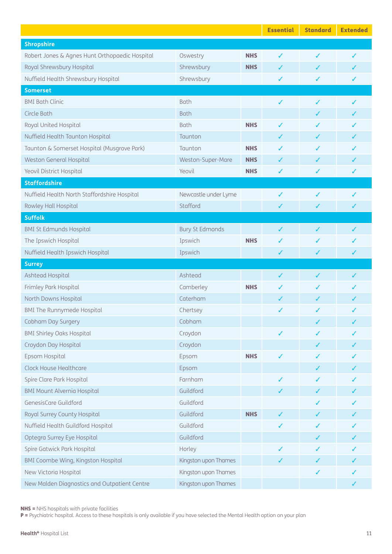|                                                |                        |            | <b>Essential</b> | <b>Standard</b> | <b>Extended</b> |
|------------------------------------------------|------------------------|------------|------------------|-----------------|-----------------|
| <b>Shropshire</b>                              |                        |            |                  |                 |                 |
| Robert Jones & Agnes Hunt Orthopaedic Hospital | Oswestry               | <b>NHS</b> | ✓                | ✓               | ✓               |
| Royal Shrewsbury Hospital                      | Shrewsbury             | <b>NHS</b> | ✓                | ✓               | J               |
| Nuffield Health Shrewsbury Hospital            | Shrewsbury             |            | ✓                | ✓               | ✓               |
| <b>Somerset</b>                                |                        |            |                  |                 |                 |
| <b>BMI Bath Clinic</b>                         | <b>Bath</b>            |            | ✓                | ✓               | ✓               |
| Circle Bath                                    | <b>Bath</b>            |            |                  | ✓               | ✓               |
| Royal United Hospital                          | <b>Bath</b>            | <b>NHS</b> | ✓                | ✓               | ✓               |
| Nuffield Health Taunton Hospital               | Taunton                |            | ✓                | ✓               | ✓               |
| Taunton & Somerset Hospital (Musgrove Park)    | Taunton                | <b>NHS</b> | ✓                | ✓               |                 |
| Weston General Hospital                        | Weston-Super-Mare      | <b>NHS</b> | ✓                | $\checkmark$    | ✓               |
| Yeovil District Hospital                       | Yeovil                 | <b>NHS</b> | ✓                | ✓               | ✓               |
| <b>Staffordshire</b>                           |                        |            |                  |                 |                 |
| Nuffield Health North Staffordshire Hospital   | Newcastle under Lyme   |            | ✓                | ✓               | J               |
| Rowley Hall Hospital                           | Stafford               |            | ✓                | $\checkmark$    | ✓               |
| <b>Suffolk</b>                                 |                        |            |                  |                 |                 |
| <b>BMI St Edmunds Hospital</b>                 | <b>Bury St Edmonds</b> |            | ✓                | $\checkmark$    | ✓               |
| The Ipswich Hospital                           | Ipswich                | <b>NHS</b> | ✓                | ✓               |                 |
| Nuffield Health Ipswich Hospital               | Ipswich                |            | ✓                | ✓               | ✓               |
| <b>Surrey</b>                                  |                        |            |                  |                 |                 |
| Ashtead Hospital                               | Ashtead                |            | ✓                | ✓               | ✓               |
| Frimley Park Hospital                          | Camberley              | <b>NHS</b> | ✓                | ✓               | ✓               |
| North Downs Hospital                           | Caterham               |            | ✓                | ✓               |                 |
| <b>BMI The Runnymede Hospital</b>              | Chertsey               |            | ✓                | ✓               | ✓               |
| Cobham Day Surgery                             | Cobham                 |            |                  |                 |                 |
| <b>BMI Shirley Oaks Hospital</b>               | Croydon                |            |                  |                 |                 |
| Croydon Day Hospital                           | Croydon                |            |                  | ✓               |                 |
| Epsom Hospital                                 | Epsom                  | <b>NHS</b> | ✓                | ✓               |                 |
| <b>Clock House Healthcare</b>                  | Epsom                  |            |                  | ✓               |                 |
| Spire Clare Park Hospital                      | Farnham                |            | ✓                |                 |                 |
| <b>BMI Mount Alvernia Hospital</b>             | Guildford              |            | ✓                | ✓               |                 |
| GenesisCare Guildford                          | Guildford              |            |                  |                 |                 |
| Royal Surrey County Hospital                   | Guildford              | <b>NHS</b> | ✓                | ✓               |                 |
| Nuffield Health Guildford Hospital             | Guildford              |            | ✓                | ✓               |                 |
| Optegra Surrey Eye Hospital                    | Guildford              |            |                  | ✓               |                 |
| Spire Gatwick Park Hospital                    | Horley                 |            | ✓                | ✓               |                 |
| BMI Coombe Wing, Kingston Hospital             | Kingston upon Thames   |            | ✓                | ✓               |                 |
| New Victoria Hospital                          | Kingston upon Thames   |            |                  | ✓               | ✓               |
| New Malden Diagnostics and Outpatient Centre   | Kingston upon Thames   |            |                  |                 | ✓               |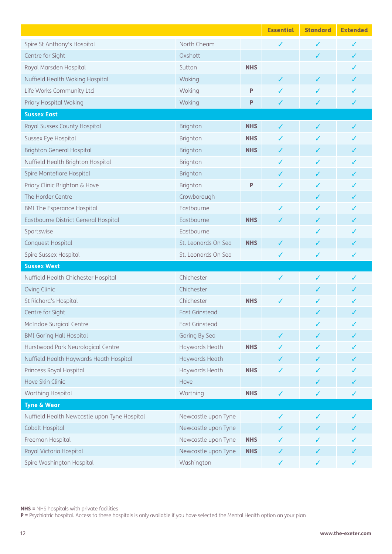|                                              |                       |            | <b>Essential</b> | <b>Standard</b> | <b>Extended</b> |
|----------------------------------------------|-----------------------|------------|------------------|-----------------|-----------------|
| Spire St Anthony's Hospital                  | North Cheam           |            | ✓                | ✓               |                 |
| Centre for Sight                             | Oxshott               |            |                  | ✓               | ✓               |
| Royal Marsden Hospital                       | Sutton                | <b>NHS</b> |                  |                 | ✓               |
| Nuffield Health Woking Hospital              | Woking                |            | ✓                | ✓               | J               |
| Life Works Community Ltd                     | Woking                | P          | ✓                | ✓               |                 |
| Priory Hospital Woking                       | Woking                | P          | ✓                | ✓               | ✓               |
| <b>Sussex East</b>                           |                       |            |                  |                 |                 |
| Royal Sussex County Hospital                 | Brighton              | <b>NHS</b> | ✓                | ✓               | ✓               |
| Sussex Eye Hospital                          | Brighton              | <b>NHS</b> | ✓                | J               |                 |
| <b>Brighton General Hospital</b>             | Brighton              | <b>NHS</b> | ✓                | ✓               | ✓               |
| Nuffield Health Brighton Hospital            | Brighton              |            | ✓                | ✓               |                 |
| Spire Montefiore Hospital                    | Brighton              |            | ✓                | ✓               |                 |
| Priory Clinic Brighton & Hove                | Brighton              | P          | ✓                | ✓               |                 |
| The Horder Centre                            | Crowborough           |            |                  | ✓               |                 |
| <b>BMI The Esperance Hospital</b>            | Eastbourne            |            | ✓                | ✓               |                 |
| Eastbourne District General Hospital         | Eastbourne            | <b>NHS</b> | ✓                | ✓               |                 |
| Sportswise                                   | Eastbourne            |            |                  | ✓               |                 |
| Conquest Hospital                            | St. Leonards On Sea   | <b>NHS</b> | ✓                | ✓               | ✓               |
| Spire Sussex Hospital                        | St. Leonards On Sea   |            | ✓                | ✓               | ✓               |
| <b>Sussex West</b>                           |                       |            |                  |                 |                 |
| Nuffield Health Chichester Hospital          | Chichester            |            | ✓                | ✓               | ✓               |
| Oving Clinic                                 | Chichester            |            |                  |                 |                 |
| St Richard's Hospital                        | Chichester            | <b>NHS</b> | ✓                | ✓               |                 |
| Centre for Sight                             | <b>East Grinstead</b> |            |                  | ✓               |                 |
| McIndoe Surgical Centre                      | East Grinstead        |            |                  | ✓               | ✓               |
| <b>BMI Goring Hall Hospital</b>              | Goring By Sea         |            | ✓                |                 |                 |
| Hurstwood Park Neurological Centre           | Haywards Heath        | <b>NHS</b> |                  |                 |                 |
| Nuffield Health Haywards Heath Hospital      | Haywards Heath        |            | ✓                | ✓               |                 |
| Princess Royal Hospital                      | Haywards Heath        | <b>NHS</b> | ✓                | ✓               |                 |
| Hove Skin Clinic                             | Hove                  |            |                  | ✓               |                 |
| Worthing Hospital                            | Worthing              | <b>NHS</b> | ✓                | ✓               | ✓               |
| <b>Tyne &amp; Wear</b>                       |                       |            |                  |                 |                 |
| Nuffield Health Newcastle upon Tyne Hospital | Newcastle upon Tyne   |            | ✓                | ✓               | ✓               |
| Cobalt Hospital                              | Newcastle upon Tyne   |            |                  |                 |                 |
| Freeman Hospital                             | Newcastle upon Tyne   | <b>NHS</b> | ✓                | ✓               |                 |
| Royal Victoria Hospital                      | Newcastle upon Tyne   | <b>NHS</b> | ✓                | ✓               |                 |
| Spire Washington Hospital                    | Washington            |            | ✓                | ✓               |                 |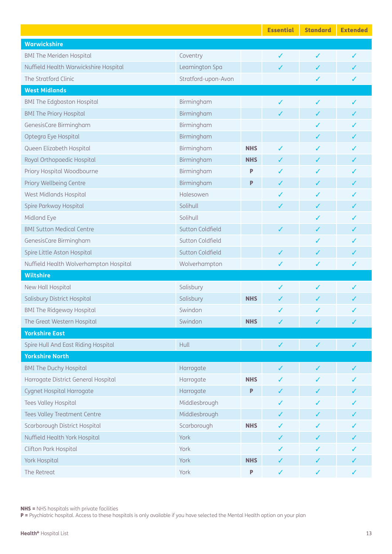|                                        |                     |            | <b>Essential</b> | <b>Standard</b> | <b>Extended</b> |
|----------------------------------------|---------------------|------------|------------------|-----------------|-----------------|
| Warwickshire                           |                     |            |                  |                 |                 |
| <b>BMI The Meriden Hospital</b>        | Coventry            |            | ✓                | ✓               | ✓               |
| Nuffield Health Warwickshire Hospital  | Leamington Spa      |            | ✓                | ✓               | ✓               |
| The Stratford Clinic                   | Stratford-upon-Avon |            |                  | $\checkmark$    | ✓               |
| <b>West Midlands</b>                   |                     |            |                  |                 |                 |
| <b>BMI The Edgbaston Hospital</b>      | Birmingham          |            | ✓                | ✓               |                 |
| <b>BMI The Priory Hospital</b>         | Birmingham          |            | ✓                | ✓               | ✓               |
| GenesisCare Birmingham                 | Birmingham          |            |                  | ✓               |                 |
| Optegra Eye Hospital                   | Birmingham          |            |                  | ✓               |                 |
| Queen Elizabeth Hospital               | Birmingham          | <b>NHS</b> | ✓                | ✓               |                 |
| Royal Orthopaedic Hospital             | Birmingham          | <b>NHS</b> | ✓                | ✓               | ✓               |
| Priory Hospital Woodbourne             | Birmingham          | P          | ✓                | ✓               |                 |
| Priory Wellbeing Centre                | Birmingham          | P          | ✓                | ✓               |                 |
| West Midlands Hospital                 | Halesowen           |            | ✓                | ✓               |                 |
| Spire Parkway Hospital                 | Solihull            |            | ✓                | ✓               |                 |
| Midland Eye                            | Solihull            |            |                  | ✓               | ✓               |
| <b>BMI Sutton Medical Centre</b>       | Sutton Coldfield    |            | ✓                | ✓               |                 |
| GenesisCare Birmingham                 | Sutton Coldfield    |            |                  | ✓               | ✓               |
| Spire Little Aston Hospital            | Sutton Coldfield    |            | ✓                | ✓               | ✓               |
| Nuffield Health Wolverhampton Hospital | Wolverhampton       |            | ✓                | ✓               | ✓               |
| <b>Wiltshire</b>                       |                     |            |                  |                 |                 |
| New Hall Hospital                      | Salisbury           |            | ✓                | ✓               | ✓               |
| Salisbury District Hospital            | Salisbury           | <b>NHS</b> |                  | ✓               |                 |
| <b>BMI The Ridgeway Hospital</b>       | Swindon             |            |                  | ✓               |                 |
| The Great Western Hospital             | Swindon             | <b>NHS</b> |                  | $\sqrt{2}$      |                 |
| <b>Yorkshire East</b>                  |                     |            |                  |                 |                 |
| Spire Hull And East Riding Hospital    | Hull                |            | $\checkmark$     | $\checkmark$    | ✓               |
| <b>Yorkshire North</b>                 |                     |            |                  |                 |                 |
| <b>BMI The Duchy Hospital</b>          | Harrogate           |            | ✓                | ✓               |                 |
| Harrogate District General Hospital    | Harrogate           | <b>NHS</b> | ✓                | ✓               |                 |
| Cygnet Hospital Harrogate              | Harrogate           | P          | ✓                | ✓               |                 |
| Tees Valley Hospital                   | Middlesbrough       |            | ✓                | ✓               | ✓               |
| Tees Valley Treatment Centre           | Middlesbrough       |            | ✓                | ✓               |                 |
| Scarborough District Hospital          | Scarborough         | <b>NHS</b> | ✓                | ✓               |                 |
| Nuffield Health York Hospital          | York                |            | ✓                | ✓               |                 |
| Clifton Park Hospital                  | York                |            | ✓                | ✓               |                 |
| York Hospital                          | York                | <b>NHS</b> | ✓                | ✓               |                 |
| The Retreat                            | York                | P          | $\checkmark$     | ✓               | ✓               |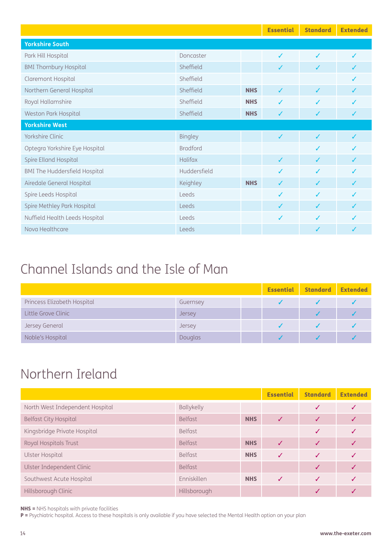|                                      |                 | <b>Essential</b> | <b>Standard</b> | <b>Extended</b> |  |
|--------------------------------------|-----------------|------------------|-----------------|-----------------|--|
| <b>Yorkshire South</b>               |                 |                  |                 |                 |  |
| Park Hill Hospital                   | Doncaster       |                  | $\checkmark$    | $\checkmark$    |  |
| <b>BMI Thornbury Hospital</b>        | Sheffield       |                  | ✓               | ✓               |  |
| Claremont Hospital                   | Sheffield       |                  |                 |                 |  |
| Northern General Hospital            | Sheffield       | <b>NHS</b>       | $\checkmark$    | ✓               |  |
| Royal Hallamshire                    | Sheffield       | <b>NHS</b>       | ✓               | ✓               |  |
| Weston Park Hospital                 | Sheffield       | <b>NHS</b>       | ✓               | $\checkmark$    |  |
| <b>Yorkshire West</b>                |                 |                  |                 |                 |  |
| Yorkshire Clinic                     | <b>Bingley</b>  |                  | $\checkmark$    | $\checkmark$    |  |
| Optegra Yorkshire Eye Hospital       | <b>Bradford</b> |                  |                 | $\checkmark$    |  |
| Spire Elland Hospital                | <b>Halifax</b>  |                  | $\checkmark$    | $\checkmark$    |  |
| <b>BMI The Huddersfield Hospital</b> | Huddersfield    |                  | $\checkmark$    | $\checkmark$    |  |
| Airedale General Hospital            | Keighley        | <b>NHS</b>       | $\checkmark$    | $\checkmark$    |  |
| Spire Leeds Hospital                 | Leeds           |                  | ✓               | $\checkmark$    |  |
| Spire Methley Park Hospital          | Leeds           |                  | ✓               | $\checkmark$    |  |
| Nuffield Health Leeds Hospital       | Leeds           |                  | ✓               | $\checkmark$    |  |
| Nova Healthcare                      | Leeds           |                  |                 | ✓               |  |

## Channel Islands and the Isle of Man

|                             |               | <b>Essential</b> Standard | Extended |
|-----------------------------|---------------|---------------------------|----------|
| Princess Elizabeth Hospital | Guernsey      |                           |          |
| Little Grove Clinic         | <b>Jersey</b> |                           |          |
| Jersey General              | Jersey        |                           |          |
| Noble's Hospital            | Douglas       |                           |          |

### Northern Ireland

|                                 |                   | <b>Essential</b> | <b>Standard</b> | <b>Extended</b> |  |
|---------------------------------|-------------------|------------------|-----------------|-----------------|--|
| North West Independent Hospital | <b>Ballykelly</b> |                  |                 |                 |  |
| <b>Belfast City Hospital</b>    | <b>Belfast</b>    | <b>NHS</b>       |                 |                 |  |
| Kingsbridge Private Hospital    | <b>Belfast</b>    |                  |                 |                 |  |
| Royal Hospitals Trust           | <b>Belfast</b>    | <b>NHS</b>       |                 |                 |  |
| Ulster Hospital                 | <b>Belfast</b>    | <b>NHS</b>       | $\checkmark$    |                 |  |
| Ulster Independent Clinic       | <b>Belfast</b>    |                  |                 |                 |  |
| Southwest Acute Hospital        | Enniskillen       | <b>NHS</b>       | J               |                 |  |
| Hillsborough Clinic             | Hillsborough      |                  |                 |                 |  |

NHS = NHS hospitals with private facilities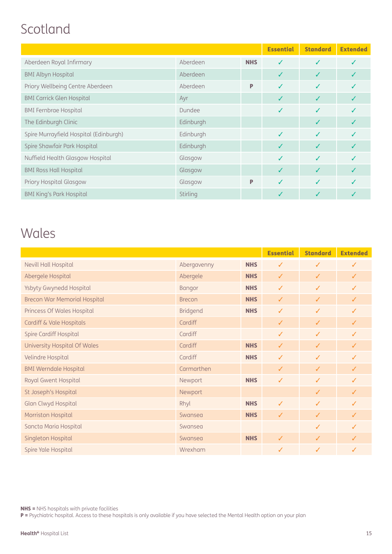### Scotland

|                                        |           |            | <b>Essential</b> | <b>Standard</b> | <b>Extended</b> |
|----------------------------------------|-----------|------------|------------------|-----------------|-----------------|
| Aberdeen Royal Infirmary               | Aberdeen  | <b>NHS</b> | ✓                |                 |                 |
| <b>BMI Albyn Hospital</b>              | Aberdeen  |            |                  |                 |                 |
| Priory Wellbeing Centre Aberdeen       | Aberdeen  | P          | ✓                | J               |                 |
| <b>BMI Carrick Glen Hospital</b>       | Ayr       |            | ✓                | ✓               |                 |
| <b>BMI Fernbrae Hospital</b>           | Dundee    |            | ✓                | ✓               |                 |
| The Edinburgh Clinic                   | Edinburgh |            |                  | ✓               |                 |
| Spire Murrayfield Hospital (Edinburgh) | Edinburgh |            | ✓                | ✓               |                 |
| Spire Shawfair Park Hospital           | Edinburgh |            |                  | ✓               |                 |
| Nuffield Health Glasgow Hospital       | Glasgow   |            |                  | J               |                 |
| <b>BMI Ross Hall Hospital</b>          | Glasgow   |            |                  |                 |                 |
| Priory Hospital Glasgow                | Glasgow   | P          | J                |                 |                 |
| <b>BMI King's Park Hospital</b>        | Stirling  |            |                  |                 |                 |

### Wales

|                                     |               |            | <b>Essential</b> | <b>Standard</b> | <b>Extended</b> |
|-------------------------------------|---------------|------------|------------------|-----------------|-----------------|
| Nevill Hall Hospital                | Abergavenny   | <b>NHS</b> | $\checkmark$     | $\checkmark$    | $\checkmark$    |
| Abergele Hospital                   | Abergele      | <b>NHS</b> | $\checkmark$     | $\checkmark$    | $\checkmark$    |
| Ysbyty Gwynedd Hospital             | <b>Bangor</b> | <b>NHS</b> | $\checkmark$     | $\checkmark$    | ✓               |
| <b>Brecon War Memorial Hospital</b> | <b>Brecon</b> | <b>NHS</b> | $\checkmark$     | $\checkmark$    | $\checkmark$    |
| Princess Of Wales Hospital          | Bridgend      | <b>NHS</b> | $\checkmark$     | $\checkmark$    | ✓               |
| Cardiff & Vale Hospitals            | Cardiff       |            | $\checkmark$     | $\checkmark$    | $\checkmark$    |
| Spire Cardiff Hospital              | Cardiff       |            | $\checkmark$     | $\checkmark$    | ✓               |
| University Hospital Of Wales        | Cardiff       | <b>NHS</b> | $\checkmark$     | ✓               | J               |
| Velindre Hospital                   | Cardiff       | <b>NHS</b> | $\checkmark$     | $\checkmark$    | ✓               |
| <b>BMI Werndale Hospital</b>        | Carmarthen    |            | $\checkmark$     | $\checkmark$    | $\checkmark$    |
| Royal Gwent Hospital                | Newport       | <b>NHS</b> | $\checkmark$     | $\checkmark$    | $\checkmark$    |
| St Joseph's Hospital                | Newport       |            |                  | $\checkmark$    | $\checkmark$    |
| Glan Clwyd Hospital                 | Rhyl          | <b>NHS</b> | $\checkmark$     | $\checkmark$    | ✓               |
| Morriston Hospital                  | Swansea       | <b>NHS</b> | $\checkmark$     | $\checkmark$    | ✓               |
| Sancta Maria Hospital               | Swansea       |            |                  | $\checkmark$    | ✓               |
| Singleton Hospital                  | Swansea       | <b>NHS</b> | $\checkmark$     | $\checkmark$    | $\checkmark$    |
| Spire Yale Hospital                 | Wrexham       |            | ✓                | ✓               | J               |

NHS = NHS hospitals with private facilities